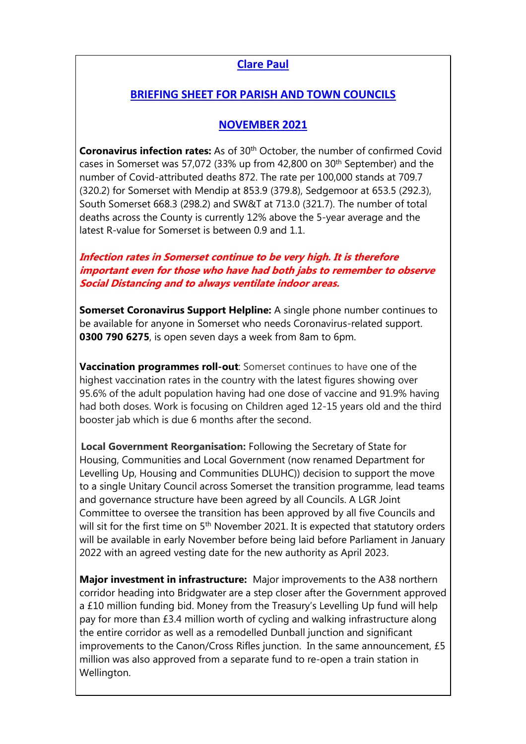## **Clare Paul**

## **BRIEFING SHEET FOR PARISH AND TOWN COUNCILS**

## **NOVEMBER 2021**

**Coronavirus infection rates:** As of 30<sup>th</sup> October, the number of confirmed Covid cases in Somerset was 57,072 (33% up from 42,800 on 30th September) and the number of Covid-attributed deaths 872. The rate per 100,000 stands at 709.7 (320.2) for Somerset with Mendip at 853.9 (379.8), Sedgemoor at 653.5 (292.3), South Somerset 668.3 (298.2) and SW&T at 713.0 (321.7). The number of total deaths across the County is currently 12% above the 5-year average and the latest R-value for Somerset is between 0.9 and 1.1.

## **Infection rates in Somerset continue to be very high. It is therefore important even for those who have had both jabs to remember to observe Social Distancing and to always ventilate indoor areas.**

**Somerset Coronavirus Support Helpline:** A single phone number continues to be available for anyone in Somerset who needs Coronavirus-related support. **0300 790 6275**, is open seven days a week from 8am to 6pm.

**Vaccination programmes roll-out**: Somerset continues to have one of the highest vaccination rates in the country with the latest figures showing over 95.6% of the adult population having had one dose of vaccine and 91.9% having had both doses. Work is focusing on Children aged 12-15 years old and the third booster jab which is due 6 months after the second.

**Local Government Reorganisation:** Following the Secretary of State for Housing, Communities and Local Government (now renamed Department for Levelling Up, Housing and Communities DLUHC)) decision to support the move to a single Unitary Council across Somerset the transition programme, lead teams and governance structure have been agreed by all Councils. A LGR Joint Committee to oversee the transition has been approved by all five Councils and will sit for the first time on 5<sup>th</sup> November 2021. It is expected that statutory orders will be available in early November before being laid before Parliament in January 2022 with an agreed vesting date for the new authority as April 2023.

**Major investment in infrastructure:** Major improvements to the A38 northern corridor heading into Bridgwater are a step closer after the Government approved a £10 million funding bid. Money from the Treasury's Levelling Up fund will help pay for more than £3.4 million worth of cycling and walking infrastructure along the entire corridor as well as a remodelled Dunball junction and significant improvements to the Canon/Cross Rifles junction. In the same announcement, £5 million was also approved from a separate fund to re-open a train station in Wellington.